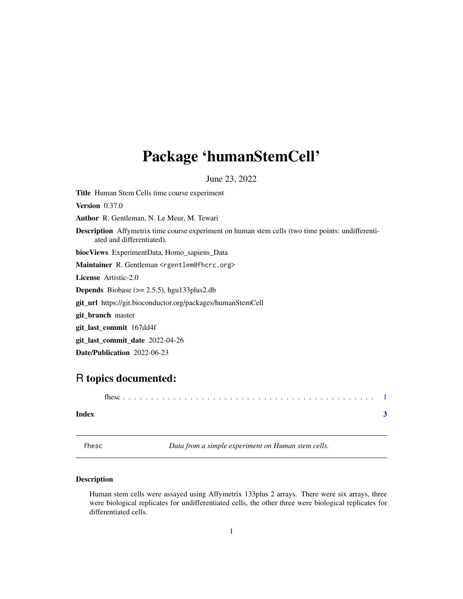## <span id="page-0-0"></span>Package 'humanStemCell'

June 23, 2022

Title Human Stem Cells time course experiment Version 0.37.0 Author R. Gentleman, N. Le Meur, M. Tewari Description Affymetrix time course experiment on human stem cells (two time points: undifferentiated and differentiated). biocViews ExperimentData, Homo\_sapiens\_Data Maintainer R. Gentleman <rgentlem@fhcrc.org> License Artistic-2.0 **Depends** Biobase  $(>= 2.5.5)$ , hgu133plus2.db git\_url https://git.bioconductor.org/packages/humanStemCell git\_branch master git\_last\_commit 167dd4f git\_last\_commit\_date 2022-04-26

Date/Publication 2022-06-23

### R topics documented:

fhesc . . . . . . . . . . . . . . . . . . . . . . . . . . . . . . . . . . . . . . . . . . . . . [1](#page-0-0)

#### **Index** [3](#page-2-0)

fhesc *Data from a simple experiment on Human stem cells.*

#### **Description**

Human stem cells were assayed using Affymetrix 133plus 2 arrays. There were six arrays, three were biological replicates for undifferentiated cells, the other three were biological replicates for differentiated cells.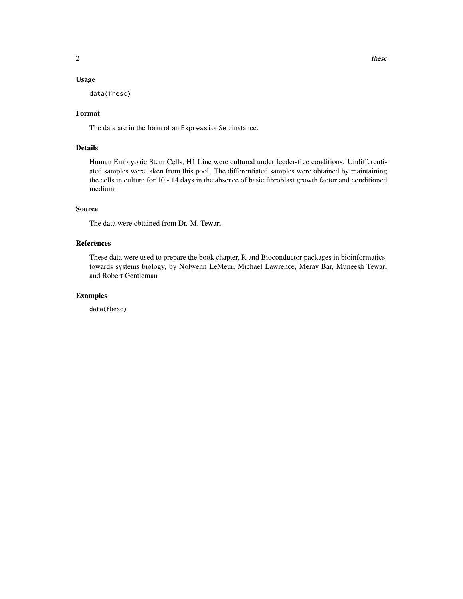#### Usage

data(fhesc)

#### Format

The data are in the form of an ExpressionSet instance.

#### Details

Human Embryonic Stem Cells, H1 Line were cultured under feeder-free conditions. Undifferentiated samples were taken from this pool. The differentiated samples were obtained by maintaining the cells in culture for 10 - 14 days in the absence of basic fibroblast growth factor and conditioned medium.

#### Source

The data were obtained from Dr. M. Tewari.

#### References

These data were used to prepare the book chapter, R and Bioconductor packages in bioinformatics: towards systems biology, by Nolwenn LeMeur, Michael Lawrence, Merav Bar, Muneesh Tewari and Robert Gentleman

#### Examples

data(fhesc)